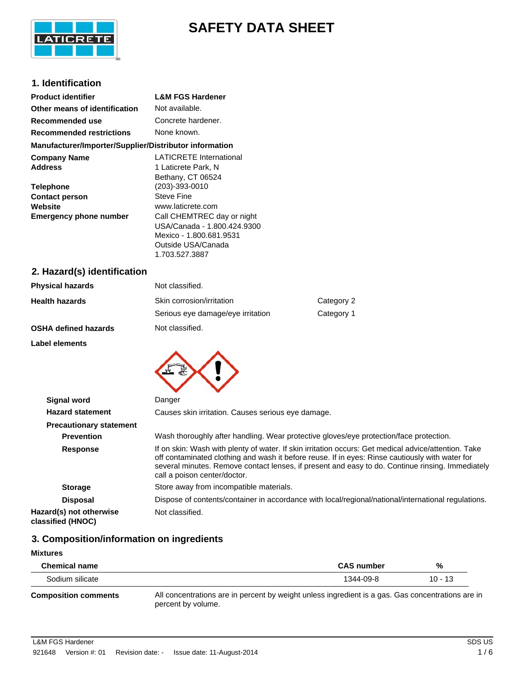

# **SAFETY DATA SHEET**

# **1. Identification**

| <b>Product identifier</b>                                                             | <b>L&amp;M FGS Hardener</b>                                                                                           |
|---------------------------------------------------------------------------------------|-----------------------------------------------------------------------------------------------------------------------|
| Other means of identification                                                         | Not available.                                                                                                        |
| Recommended use                                                                       | Concrete hardener.                                                                                                    |
| <b>Recommended restrictions</b>                                                       | None known.                                                                                                           |
| Manufacturer/Importer/Supplier/Distributor information                                |                                                                                                                       |
| <b>Company Name</b><br><b>Address</b>                                                 | <b>LATICRETE International</b><br>1 Laticrete Park, N<br>Bethany, CT 06524                                            |
| <b>Telephone</b><br><b>Contact person</b><br>Website<br><b>Emergency phone number</b> | (203)-393-0010<br><b>Steve Fine</b><br>www.laticrete.com<br>Call CHEMTREC day or night<br>USA/Canada - 1.800.424.9300 |
|                                                                                       | Mexico - 1.800.681.9531<br>Outside USA/Canada<br>1.703.527.3887                                                       |
| 2. Hazard(s) identification                                                           |                                                                                                                       |
| .                                                                                     | $\mathbf{r}$ , $\mathbf{r}$ , $\mathbf{r}$                                                                            |

| <b>Physical hazards</b> | Not classified.                   |            |
|-------------------------|-----------------------------------|------------|
| <b>Health hazards</b>   | Skin corrosion/irritation         | Category 2 |
|                         | Serious eye damage/eye irritation | Category 1 |
|                         |                                   |            |

**OSHA defined hazards** Not classified.

**Label elements**



| <b>Signal word</b>                           | Danger                                                                                                                                                                                                                                                                                                                                      |  |
|----------------------------------------------|---------------------------------------------------------------------------------------------------------------------------------------------------------------------------------------------------------------------------------------------------------------------------------------------------------------------------------------------|--|
| <b>Hazard statement</b>                      | Causes skin irritation. Causes serious eye damage.                                                                                                                                                                                                                                                                                          |  |
| <b>Precautionary statement</b>               |                                                                                                                                                                                                                                                                                                                                             |  |
| <b>Prevention</b>                            | Wash thoroughly after handling. Wear protective gloves/eye protection/face protection.                                                                                                                                                                                                                                                      |  |
| <b>Response</b>                              | If on skin: Wash with plenty of water. If skin irritation occurs: Get medical advice/attention. Take<br>off contaminated clothing and wash it before reuse. If in eyes: Rinse cautiously with water for<br>several minutes. Remove contact lenses, if present and easy to do. Continue rinsing. Immediately<br>call a poison center/doctor. |  |
| <b>Storage</b>                               | Store away from incompatible materials.                                                                                                                                                                                                                                                                                                     |  |
| <b>Disposal</b>                              | Dispose of contents/container in accordance with local/regional/national/international regulations.                                                                                                                                                                                                                                         |  |
| Hazard(s) not otherwise<br>classified (HNOC) | Not classified.                                                                                                                                                                                                                                                                                                                             |  |

# **3. Composition/information on ingredients**

| <b>Mixtures</b>      |                                                                                                |         |
|----------------------|------------------------------------------------------------------------------------------------|---------|
| <b>Chemical name</b> | <b>CAS number</b>                                                                              | %       |
| Sodium silicate      | 1344-09-8                                                                                      | 10 - 13 |
| Composition comments | All concentrations are in percent by weight unless ingredient is a gas. Gas concentrations are |         |

**Composition comments** All concentrations are in percent by weight unless ingredient is a gas. Gas concentrations are in percent by volume.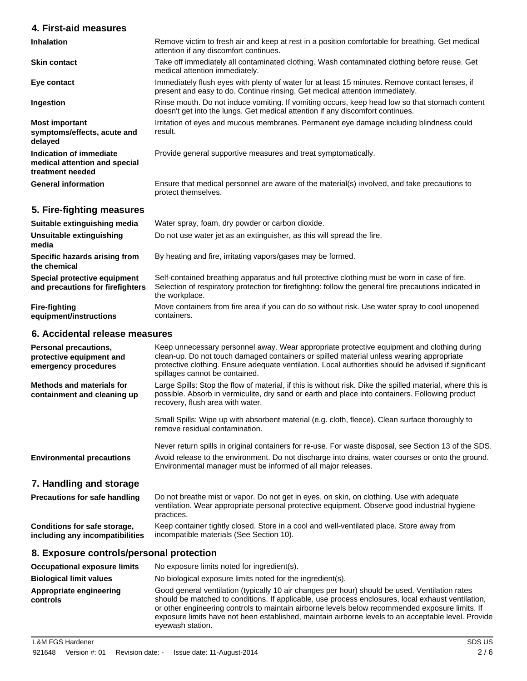# **4. First-aid measures**

| <b>Inhalation</b>                                                            | Remove victim to fresh air and keep at rest in a position comfortable for breathing. Get medical<br>attention if any discomfort continues.                                       |  |
|------------------------------------------------------------------------------|----------------------------------------------------------------------------------------------------------------------------------------------------------------------------------|--|
| <b>Skin contact</b>                                                          | Take off immediately all contaminated clothing. Wash contaminated clothing before reuse. Get<br>medical attention immediately.                                                   |  |
| Eye contact                                                                  | Immediately flush eyes with plenty of water for at least 15 minutes. Remove contact lenses, if<br>present and easy to do. Continue rinsing. Get medical attention immediately.   |  |
| Ingestion                                                                    | Rinse mouth. Do not induce vomiting. If vomiting occurs, keep head low so that stomach content<br>doesn't get into the lungs. Get medical attention if any discomfort continues. |  |
| <b>Most important</b><br>symptoms/effects, acute and<br>delayed              | Irritation of eyes and mucous membranes. Permanent eye damage including blindness could<br>result.                                                                               |  |
| Indication of immediate<br>medical attention and special<br>treatment needed | Provide general supportive measures and treat symptomatically.                                                                                                                   |  |
| <b>General information</b>                                                   | Ensure that medical personnel are aware of the material(s) involved, and take precautions to<br>protect themselves.                                                              |  |

# **5. Fire-fighting measures**

| Suitable extinguishing media                                     | Water spray, foam, dry powder or carbon dioxide.                                                                                                                                                                          |
|------------------------------------------------------------------|---------------------------------------------------------------------------------------------------------------------------------------------------------------------------------------------------------------------------|
| Unsuitable extinguishing<br>media                                | Do not use water jet as an extinguisher, as this will spread the fire.                                                                                                                                                    |
| Specific hazards arising from<br>the chemical                    | By heating and fire, irritating vapors/gases may be formed.                                                                                                                                                               |
| Special protective equipment<br>and precautions for firefighters | Self-contained breathing apparatus and full protective clothing must be worn in case of fire.<br>Selection of respiratory protection for firefighting: follow the general fire precautions indicated in<br>the workplace. |
| Fire-fighting<br>equipment/instructions                          | Move containers from fire area if you can do so without risk. Use water spray to cool unopened<br>containers.                                                                                                             |

# **6. Accidental release measures**

| Personal precautions,<br>protective equipment and<br>emergency procedures | Keep unnecessary personnel away. Wear appropriate protective equipment and clothing during<br>clean-up. Do not touch damaged containers or spilled material unless wearing appropriate<br>protective clothing. Ensure adequate ventilation. Local authorities should be advised if significant<br>spillages cannot be contained. |
|---------------------------------------------------------------------------|----------------------------------------------------------------------------------------------------------------------------------------------------------------------------------------------------------------------------------------------------------------------------------------------------------------------------------|
| <b>Methods and materials for</b><br>containment and cleaning up           | Large Spills: Stop the flow of material, if this is without risk. Dike the spilled material, where this is<br>possible. Absorb in vermiculite, dry sand or earth and place into containers. Following product<br>recovery, flush area with water.                                                                                |
|                                                                           | Small Spills: Wipe up with absorbent material (e.g. cloth, fleece). Clean surface thoroughly to<br>remove residual contamination.                                                                                                                                                                                                |
| <b>Environmental precautions</b>                                          | Never return spills in original containers for re-use. For waste disposal, see Section 13 of the SDS.<br>Avoid release to the environment. Do not discharge into drains, water courses or onto the ground.<br>Environmental manager must be informed of all major releases.                                                      |
| 7. Handling and storage                                                   |                                                                                                                                                                                                                                                                                                                                  |
| <b>Precautions for safe handling</b>                                      | Do not breathe mist or vapor. Do not get in eyes, on skin, on clothing. Use with adequate<br>ventilation. Wear appropriate personal protective equipment. Observe good industrial hygiene<br>practices.                                                                                                                          |
| Conditions for safe storage,<br>including any incompatibilities           | Keep container tightly closed. Store in a cool and well-ventilated place. Store away from<br>incompatible materials (See Section 10).                                                                                                                                                                                            |
| 8. Exposure controls/personal protection                                  |                                                                                                                                                                                                                                                                                                                                  |
| <b>Occupational exposure limits</b>                                       | No exposure limits noted for ingredient(s).                                                                                                                                                                                                                                                                                      |
| <b>Biological limit values</b>                                            | No biological exposure limits noted for the ingredient(s).                                                                                                                                                                                                                                                                       |
| Appropriate engineering                                                   | Good general ventilation (typically 10 air changes per hour) should be used. Ventilation rates                                                                                                                                                                                                                                   |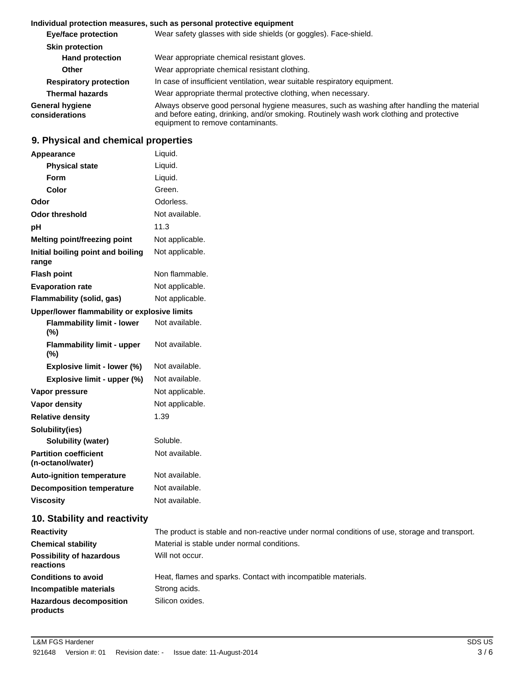#### **Individual protection measures, such as personal protective equipment**

| <b>Eye/face protection</b>        | Wear safety glasses with side shields (or goggles). Face-shield.                                                                                                                                                            |  |
|-----------------------------------|-----------------------------------------------------------------------------------------------------------------------------------------------------------------------------------------------------------------------------|--|
| <b>Skin protection</b>            |                                                                                                                                                                                                                             |  |
| <b>Hand protection</b>            | Wear appropriate chemical resistant gloves.                                                                                                                                                                                 |  |
| <b>Other</b>                      | Wear appropriate chemical resistant clothing.                                                                                                                                                                               |  |
| <b>Respiratory protection</b>     | In case of insufficient ventilation, wear suitable respiratory equipment.                                                                                                                                                   |  |
| <b>Thermal hazards</b>            | Wear appropriate thermal protective clothing, when necessary.                                                                                                                                                               |  |
| General hygiene<br>considerations | Always observe good personal hygiene measures, such as washing after handling the material<br>and before eating, drinking, and/or smoking. Routinely wash work clothing and protective<br>equipment to remove contaminants. |  |

# **9. Physical and chemical properties**

| Appearance                                        | Liquid.                                                                                                         |
|---------------------------------------------------|-----------------------------------------------------------------------------------------------------------------|
| <b>Physical state</b>                             | Liquid.                                                                                                         |
| Form                                              | Liquid.                                                                                                         |
| Color                                             | Green.                                                                                                          |
| Odor                                              | Odorless.                                                                                                       |
| <b>Odor threshold</b>                             | Not available.                                                                                                  |
| рH                                                | 11.3                                                                                                            |
| Melting point/freezing point                      | Not applicable.                                                                                                 |
| Initial boiling point and boiling<br>range        | Not applicable.                                                                                                 |
| <b>Flash point</b>                                | Non flammable.                                                                                                  |
| <b>Evaporation rate</b>                           | Not applicable.                                                                                                 |
| Flammability (solid, gas)                         | Not applicable.                                                                                                 |
| Upper/lower flammability or explosive limits      |                                                                                                                 |
| <b>Flammability limit - lower</b><br>(%)          | Not available.                                                                                                  |
| <b>Flammability limit - upper</b><br>$(\%)$       | Not available.                                                                                                  |
| Explosive limit - lower (%)                       | Not available.                                                                                                  |
| Explosive limit - upper (%)                       | Not available.                                                                                                  |
| Vapor pressure                                    | Not applicable.                                                                                                 |
| <b>Vapor density</b>                              | Not applicable.                                                                                                 |
| <b>Relative density</b>                           | 1.39                                                                                                            |
| Solubility(ies)                                   |                                                                                                                 |
| <b>Solubility (water)</b>                         | Soluble.                                                                                                        |
| <b>Partition coefficient</b><br>(n-octanol/water) | Not available.                                                                                                  |
| <b>Auto-ignition temperature</b>                  | Not available.                                                                                                  |
| <b>Decomposition temperature</b>                  | Not available.                                                                                                  |
| <b>Viscosity</b>                                  | Not available.                                                                                                  |
| 10. Stability and reactivity                      |                                                                                                                 |
|                                                   | the contract of the contract of the contract of the contract of the contract of the contract of the contract of |

| <b>Reactivity</b>                            | The product is stable and non-reactive under normal conditions of use, storage and transport. |
|----------------------------------------------|-----------------------------------------------------------------------------------------------|
| <b>Chemical stability</b>                    | Material is stable under normal conditions.                                                   |
| <b>Possibility of hazardous</b><br>reactions | Will not occur.                                                                               |
| <b>Conditions to avoid</b>                   | Heat, flames and sparks. Contact with incompatible materials.                                 |
| Incompatible materials                       | Strong acids.                                                                                 |
| <b>Hazardous decomposition</b><br>products   | Silicon oxides.                                                                               |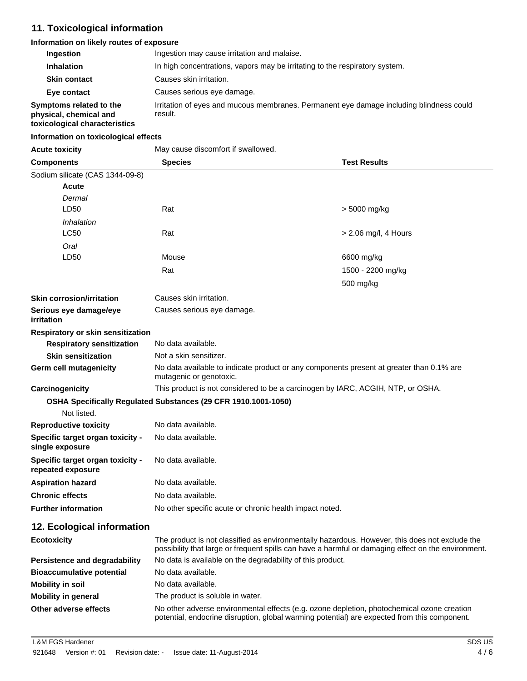# **11. Toxicological information**

#### **Information on likely routes of exposure**

| <b>Ingestion</b>                                                                   | Ingestion may cause irritation and malaise.                                                        |
|------------------------------------------------------------------------------------|----------------------------------------------------------------------------------------------------|
| <b>Inhalation</b>                                                                  | In high concentrations, vapors may be irritating to the respiratory system.                        |
| <b>Skin contact</b>                                                                | Causes skin irritation.                                                                            |
| Eye contact                                                                        | Causes serious eye damage.                                                                         |
| Symptoms related to the<br>physical, chemical and<br>toxicological characteristics | Irritation of eyes and mucous membranes. Permanent eye damage including blindness could<br>result. |

# **Information on toxicological effects**

| <b>Acute toxicity</b> |  |
|-----------------------|--|

**Acute toxicity** May cause discomfort if swallowed.

| <b>Components</b>                                     | <b>Species</b>                                                                                                                                                                                        | <b>Test Results</b>  |  |
|-------------------------------------------------------|-------------------------------------------------------------------------------------------------------------------------------------------------------------------------------------------------------|----------------------|--|
| Sodium silicate (CAS 1344-09-8)                       |                                                                                                                                                                                                       |                      |  |
| <b>Acute</b>                                          |                                                                                                                                                                                                       |                      |  |
| Dermal                                                |                                                                                                                                                                                                       |                      |  |
| LD50                                                  | Rat                                                                                                                                                                                                   | > 5000 mg/kg         |  |
| Inhalation                                            |                                                                                                                                                                                                       |                      |  |
| <b>LC50</b>                                           | Rat                                                                                                                                                                                                   | > 2.06 mg/l, 4 Hours |  |
| Oral                                                  |                                                                                                                                                                                                       |                      |  |
| LD50                                                  | Mouse                                                                                                                                                                                                 | 6600 mg/kg           |  |
|                                                       | Rat                                                                                                                                                                                                   | 1500 - 2200 mg/kg    |  |
|                                                       |                                                                                                                                                                                                       | 500 mg/kg            |  |
| <b>Skin corrosion/irritation</b>                      | Causes skin irritation.                                                                                                                                                                               |                      |  |
| Serious eye damage/eye<br>irritation                  | Causes serious eye damage.                                                                                                                                                                            |                      |  |
| Respiratory or skin sensitization                     |                                                                                                                                                                                                       |                      |  |
| <b>Respiratory sensitization</b>                      | No data available.                                                                                                                                                                                    |                      |  |
| <b>Skin sensitization</b>                             | Not a skin sensitizer.                                                                                                                                                                                |                      |  |
| <b>Germ cell mutagenicity</b>                         | No data available to indicate product or any components present at greater than 0.1% are<br>mutagenic or genotoxic.                                                                                   |                      |  |
| Carcinogenicity                                       | This product is not considered to be a carcinogen by IARC, ACGIH, NTP, or OSHA.                                                                                                                       |                      |  |
|                                                       | OSHA Specifically Regulated Substances (29 CFR 1910.1001-1050)                                                                                                                                        |                      |  |
| Not listed.                                           |                                                                                                                                                                                                       |                      |  |
| <b>Reproductive toxicity</b>                          | No data available.                                                                                                                                                                                    |                      |  |
| Specific target organ toxicity -<br>single exposure   | No data available.                                                                                                                                                                                    |                      |  |
| Specific target organ toxicity -<br>repeated exposure | No data available.                                                                                                                                                                                    |                      |  |
| <b>Aspiration hazard</b>                              | No data available.                                                                                                                                                                                    |                      |  |
| <b>Chronic effects</b>                                | No data available.                                                                                                                                                                                    |                      |  |
| <b>Further information</b>                            | No other specific acute or chronic health impact noted.                                                                                                                                               |                      |  |
| 12. Ecological information                            |                                                                                                                                                                                                       |                      |  |
| <b>Ecotoxicity</b>                                    | The product is not classified as environmentally hazardous. However, this does not exclude the<br>possibility that large or frequent spills can have a harmful or damaging effect on the environment. |                      |  |
| Persistence and degradability                         | No data is available on the degradability of this product.                                                                                                                                            |                      |  |
| <b>Bioaccumulative potential</b>                      | No data available.                                                                                                                                                                                    |                      |  |
| <b>Mobility in soil</b>                               | No data available.                                                                                                                                                                                    |                      |  |
| <b>Mobility in general</b>                            | The product is soluble in water.                                                                                                                                                                      |                      |  |
| Other adverse effects                                 | No other adverse environmental effects (e.g. ozone depletion, photochemical ozone creation<br>potential, endocrine disruption, global warming potential) are expected from this component.            |                      |  |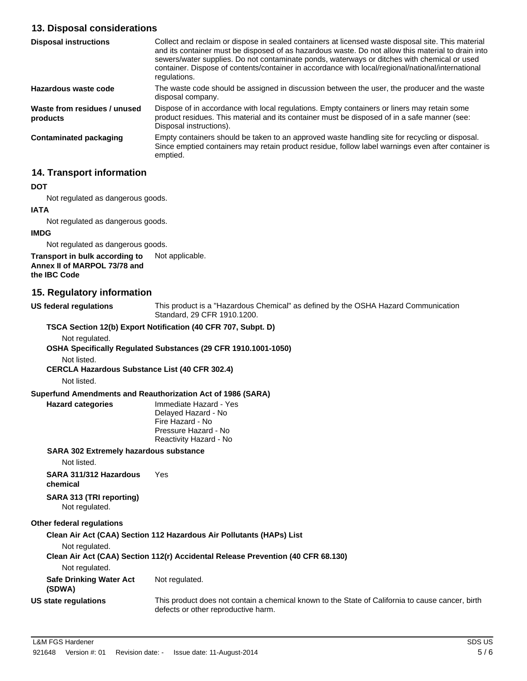# **13. Disposal considerations**

| <b>Disposal instructions</b>             | Collect and reclaim or dispose in sealed containers at licensed waste disposal site. This material<br>and its container must be disposed of as hazardous waste. Do not allow this material to drain into<br>sewers/water supplies. Do not contaminate ponds, waterways or ditches with chemical or used<br>container. Dispose of contents/container in accordance with local/regional/national/international<br>regulations. |
|------------------------------------------|------------------------------------------------------------------------------------------------------------------------------------------------------------------------------------------------------------------------------------------------------------------------------------------------------------------------------------------------------------------------------------------------------------------------------|
| Hazardous waste code                     | The waste code should be assigned in discussion between the user, the producer and the waste<br>disposal company.                                                                                                                                                                                                                                                                                                            |
| Waste from residues / unused<br>products | Dispose of in accordance with local regulations. Empty containers or liners may retain some<br>product residues. This material and its container must be disposed of in a safe manner (see:<br>Disposal instructions).                                                                                                                                                                                                       |
| <b>Contaminated packaging</b>            | Empty containers should be taken to an approved waste handling site for recycling or disposal.<br>Since emptied containers may retain product residue, follow label warnings even after container is<br>emptied.                                                                                                                                                                                                             |

# **14. Transport information**

#### **DOT**

Not regulated as dangerous goods.

# **IATA**

Not regulated as dangerous goods.

#### **IMDG**

Not regulated as dangerous goods.

#### **Transport in bulk according to** Not applicable. **Annex II of MARPOL 73/78 and the IBC Code**

# **15. Regulatory information**

**US federal regulations** This product is a "Hazardous Chemical" as defined by the OSHA Hazard Communication Standard, 29 CFR 1910.1200.

#### **TSCA Section 12(b) Export Notification (40 CFR 707, Subpt. D)**

Not regulated.

**OSHA Specifically Regulated Substances (29 CFR 1910.1001-1050)**

Not listed.

**CERCLA Hazardous Substance List (40 CFR 302.4)**

Not listed.

#### **Superfund Amendments and Reauthorization Act of 1986 (SARA)**

**Hazard categories** Immediate Hazard - Yes Delayed Hazard - No Fire Hazard - No Pressure Hazard - No Reactivity Hazard - No

#### **SARA 302 Extremely hazardous substance**

Not listed.

**SARA 311/312 Hazardous** Yes

**chemical**

**SARA 313 (TRI reporting)** Not regulated.

# **Other federal regulations**

**Clean Air Act (CAA) Section 112 Hazardous Air Pollutants (HAPs) List**

Not regulated.

#### **Clean Air Act (CAA) Section 112(r) Accidental Release Prevention (40 CFR 68.130)**

Not regulated.

**Safe Drinking Water Act (SDWA)** Not regulated.

**US state regulations** This product does not contain a chemical known to the State of California to cause cancer, birth defects or other reproductive harm.